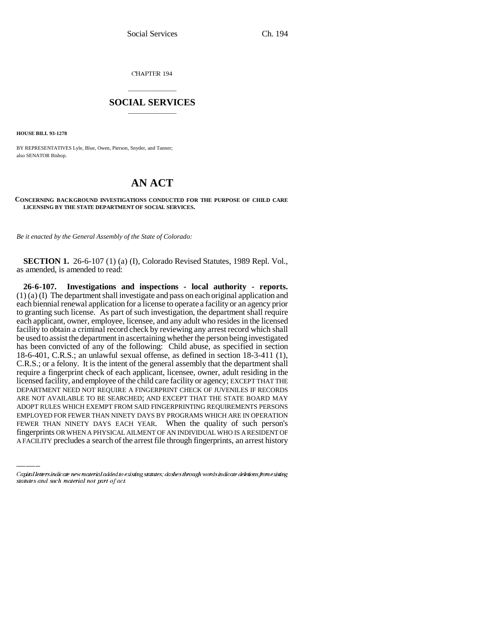CHAPTER 194

## \_\_\_\_\_\_\_\_\_\_\_\_\_\_\_ **SOCIAL SERVICES** \_\_\_\_\_\_\_\_\_\_\_\_\_\_\_

**HOUSE BILL 93-1278**

BY REPRESENTATIVES Lyle, Blue, Owen, Pierson, Snyder, and Tanner; also SENATOR Bishop.

## **AN ACT**

## **CONCERNING BACKGROUND INVESTIGATIONS CONDUCTED FOR THE PURPOSE OF CHILD CARE LICENSING BY THE STATE DEPARTMENT OF SOCIAL SERVICES.**

*Be it enacted by the General Assembly of the State of Colorado:*

**SECTION 1.** 26-6-107 (1) (a) (I), Colorado Revised Statutes, 1989 Repl. Vol., as amended, is amended to read:

ADOPT RULES WHICH EXEMPT FROM SAID FINGERPRINTING REQUIREMENTS PERSONS **26-6-107. Investigations and inspections - local authority - reports.** (1) (a) (I) The department shall investigate and pass on each original application and each biennial renewal application for a license to operate a facility or an agency prior to granting such license. As part of such investigation, the department shall require each applicant, owner, employee, licensee, and any adult who resides in the licensed facility to obtain a criminal record check by reviewing any arrest record which shall be used to assist the department in ascertaining whether the person being investigated has been convicted of any of the following: Child abuse, as specified in section 18-6-401, C.R.S.; an unlawful sexual offense, as defined in section 18-3-411 (1), C.R.S.; or a felony. It is the intent of the general assembly that the department shall require a fingerprint check of each applicant, licensee, owner, adult residing in the licensed facility, and employee of the child care facility or agency; EXCEPT THAT THE DEPARTMENT NEED NOT REQUIRE A FINGERPRINT CHECK OF JUVENILES IF RECORDS ARE NOT AVAILABLE TO BE SEARCHED; AND EXCEPT THAT THE STATE BOARD MAY EMPLOYED FOR FEWER THAN NINETY DAYS BY PROGRAMS WHICH ARE IN OPERATION FEWER THAN NINETY DAYS EACH YEAR. When the quality of such person's fingerprints OR WHEN A PHYSICAL AILMENT OF AN INDIVIDUAL WHO IS A RESIDENT OF A FACILITY precludes a search of the arrest file through fingerprints, an arrest history

Capital letters indicate new material added to existing statutes; dashes through words indicate deletions from existing statutes and such material not part of act.